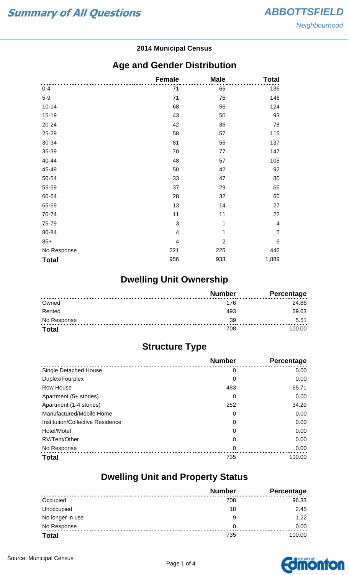#### **2014 Municipal Census**

#### **Age and Gender Distribution**

|              | <b>Female</b>  | <b>Male</b>    | <b>Total</b>            |
|--------------|----------------|----------------|-------------------------|
| $0 - 4$      | 71             | 65             | 136                     |
| $5-9$        | 71             | 75             | 146                     |
| $10 - 14$    | 68             | 56             | 124                     |
| 15-19        | 43             | 50             | 93                      |
| 20-24        | 42             | 36             | 78                      |
| 25-29        | 58             | 57             | 115                     |
| 30-34        | 81             | 56             | 137                     |
| 35-39        | 70             | 77             | 147                     |
| 40-44        | 48             | 57             | 105                     |
| 45-49        | 50             | 42             | 92                      |
| 50-54        | 33             | 47             | 80                      |
| 55-59        | 37             | 29             | 66                      |
| 60-64        | 28             | 32             | 60                      |
| 65-69        | 13             | 14             | 27                      |
| 70-74        | 11             | 11             | 22                      |
| 75-79        | 3              | 1              | $\overline{\mathbf{4}}$ |
| 80-84        | $\overline{4}$ | 1              | $\sqrt{5}$              |
| $85+$        | 4              | $\overline{2}$ | $6\phantom{1}6$         |
| No Response  | 221            | 225            | 446                     |
| <b>Total</b> | 956            | 933            | 1,889                   |

## **Dwelling Unit Ownership**

|              | <b>Number</b> | <b>Percentage</b> |
|--------------|---------------|-------------------|
| Owned        | 176           | 24.86             |
| Rented       | 493           | 69.63             |
| No Response  | 39            | 5.51              |
| <b>Total</b> | 708           | 100.00            |

## **Structure Type**

|                                  | <b>Number</b> | Percentage |
|----------------------------------|---------------|------------|
| <b>Single Detached House</b>     | 0             | 0.00       |
| Duplex/Fourplex                  | 0             | 0.00       |
| Row House                        | 483           | 65.71      |
| Apartment (5+ stories)           | 0             | 0.00       |
| Apartment (1-4 stories)          | 252           | 34.29      |
| Manufactured/Mobile Home         | 0             | 0.00       |
| Institution/Collective Residence | 0             | 0.00       |
| Hotel/Motel                      | 0             | 0.00       |
| RV/Tent/Other                    | 0             | 0.00       |
| No Response                      | 0             | 0.00       |
| <b>Total</b>                     | 735           | 100.00     |

#### **Dwelling Unit and Property Status**

|                  | <b>Number</b> | <b>Percentage</b> |
|------------------|---------------|-------------------|
| Occupied         | 708           | 96.33             |
| Unoccupied       | 18            | 2.45              |
| No longer in use | 9             | 1.22              |
| No Response      | 0             | 0.00              |
| <b>Total</b>     | 735           | 100.00            |

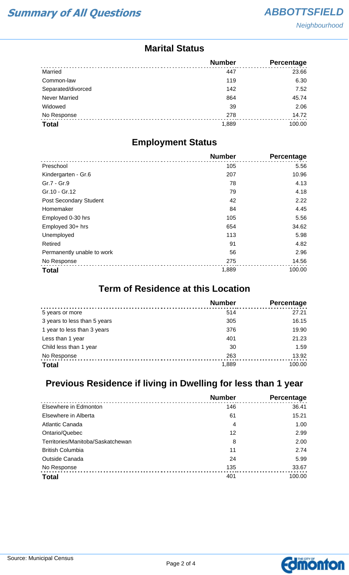**Neighbourhood** 

#### **Marital Status**

|                      | <b>Number</b> | <b>Percentage</b> |
|----------------------|---------------|-------------------|
| Married              | 447           | 23.66             |
| Common-law           | 119           | 6.30              |
| Separated/divorced   | 142           | 7.52              |
| <b>Never Married</b> | 864           | 45.74             |
| Widowed              | 39            | 2.06              |
| No Response          | 278           | 14.72             |
| <b>Total</b>         | 1,889         | 100.00            |

#### **Employment Status**

|                               | <b>Number</b> | Percentage |
|-------------------------------|---------------|------------|
| Preschool                     | 105           | 5.56       |
| Kindergarten - Gr.6           | 207           | 10.96      |
| Gr.7 - Gr.9                   | 78            | 4.13       |
| Gr.10 - Gr.12                 | 79            | 4.18       |
| <b>Post Secondary Student</b> | 42            | 2.22       |
| Homemaker                     | 84            | 4.45       |
| Employed 0-30 hrs             | 105           | 5.56       |
| Employed 30+ hrs              | 654           | 34.62      |
| Unemployed                    | 113           | 5.98       |
| Retired                       | 91            | 4.82       |
| Permanently unable to work    | 56            | 2.96       |
| No Response                   | 275           | 14.56      |
| <b>Total</b>                  | 1,889         | 100.00     |

### **Term of Residence at this Location**

|                              | <b>Number</b> | Percentage |
|------------------------------|---------------|------------|
| 5 years or more              | 514           | 27.21      |
| 3 years to less than 5 years | 305           | 16.15      |
| 1 year to less than 3 years  | 376           | 19.90      |
| Less than 1 year             | 401           | 21.23      |
| Child less than 1 year       | 30            | 1.59       |
| No Response                  | 263           | 13.92      |
| <b>Total</b>                 | 1,889         | 100.00     |

## **Previous Residence if living in Dwelling for less than 1 year**

|                                   | <b>Number</b> | Percentage |
|-----------------------------------|---------------|------------|
| Elsewhere in Edmonton             | 146           | 36.41      |
| Elsewhere in Alberta              | 61            | 15.21      |
| Atlantic Canada                   | 4             | 1.00       |
| Ontario/Quebec                    | 12            | 2.99       |
| Territories/Manitoba/Saskatchewan | 8             | 2.00       |
| <b>British Columbia</b>           | 11            | 2.74       |
| <b>Outside Canada</b>             | 24            | 5.99       |
| No Response                       | 135           | 33.67      |
| <b>Total</b>                      | 401           | 100.00     |

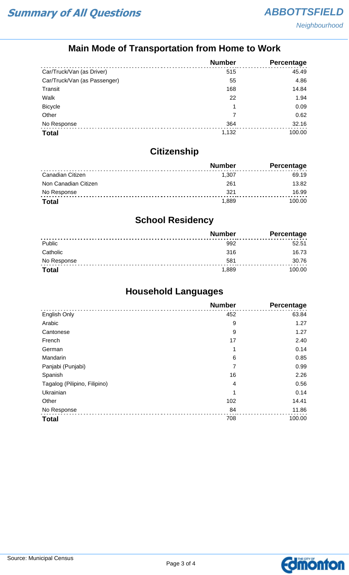## **Main Mode of Transportation from Home to Work**

|                              | <b>Number</b> | Percentage |
|------------------------------|---------------|------------|
| Car/Truck/Van (as Driver)    | 515           | 45.49      |
| Car/Truck/Van (as Passenger) | 55            | 4.86       |
| Transit                      | 168           | 14.84      |
| Walk                         | 22            | 1.94       |
| <b>Bicycle</b>               | 1             | 0.09       |
| Other                        |               | 0.62       |
| No Response                  | 364           | 32.16      |
| <b>Total</b>                 | 1,132         | 100.00     |

## **Citizenship**

|                      | <b>Number</b> | Percentage |
|----------------------|---------------|------------|
| Canadian Citizen     | 1.307         | 69.19      |
| Non Canadian Citizen | 261           | 13.82      |
| No Response          | 321           | 16.99      |
| <b>Total</b>         | 1.889         | 100.00     |

## **School Residency**

|              | <b>Number</b> | <b>Percentage</b> |
|--------------|---------------|-------------------|
| Public       | 992           | 52.51             |
| Catholic     | 316           | 16.73             |
| No Response  | 581           | 30.76             |
| <b>Total</b> | 1,889         | 100.00            |

## **Household Languages**

|                              | <b>Number</b> | Percentage |
|------------------------------|---------------|------------|
| English Only                 | 452           | 63.84      |
| Arabic                       | 9             | 1.27       |
| Cantonese                    | 9             | 1.27       |
| French                       | 17            | 2.40       |
| German                       | 1             | 0.14       |
| Mandarin                     | 6             | 0.85       |
| Panjabi (Punjabi)            | 7             | 0.99       |
| Spanish                      | 16            | 2.26       |
| Tagalog (Pilipino, Filipino) | 4             | 0.56       |
| Ukrainian                    | 1             | 0.14       |
| Other                        | 102           | 14.41      |
| No Response                  | 84            | 11.86      |
| <b>Total</b>                 | 708           | 100.00     |